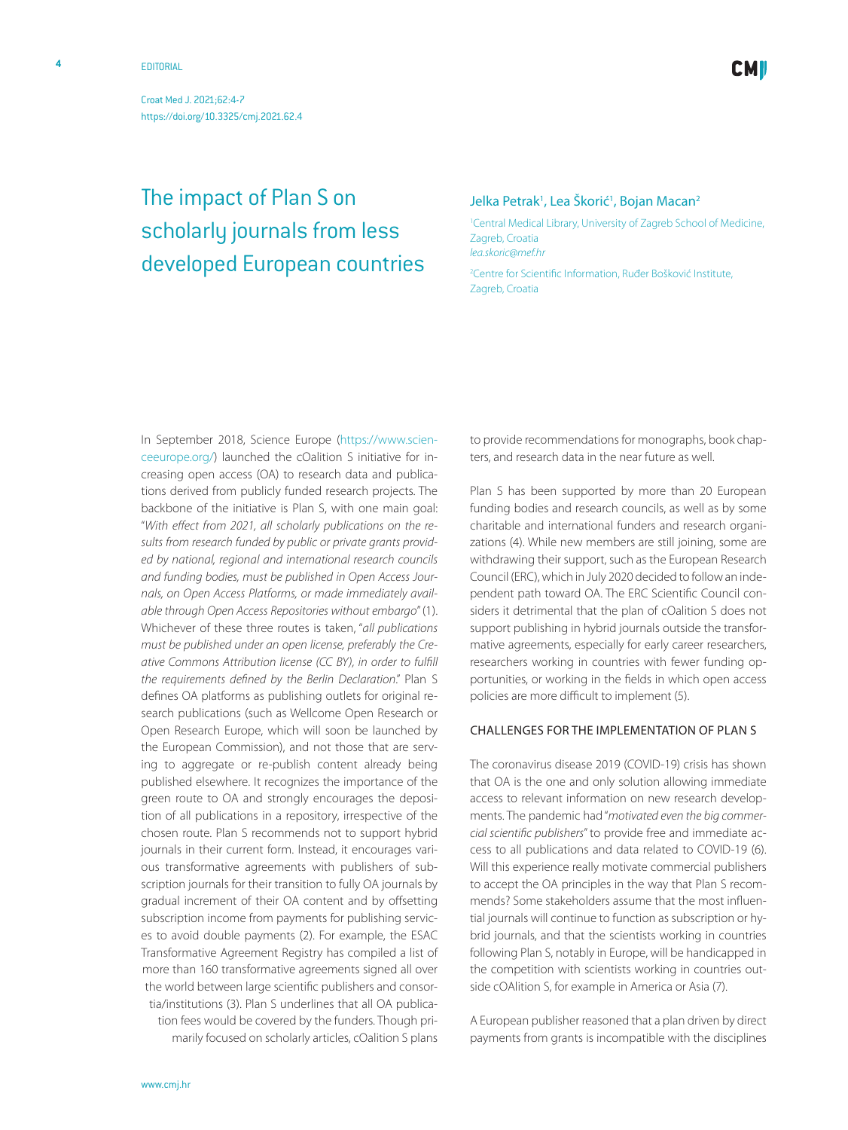Croat Med J. 2021;62:4-7 <https://doi.org/10.3325/cmj.2021.62.4>

developed European countries

# Jelka Petrak<sup>1</sup>, Lea Škorić<sup>1</sup>, Bojan Macan<sup>2</sup> The impact of Plan S on scholarly journals from less

1 Central Medical Library, University of Zagreb School of Medicine, Zagreb, Croatia *[lea.skoric@mef.hr](mailto: lea.skoric@mef.hr )*

2 Centre for Scientific Information, Ruđer Bošković Institute, Zagreb, Croatia

In September 2018, Science Europe ([https://www.scien](https://www.scienceeurope.org/)[ceeurope.org/\)](https://www.scienceeurope.org/) launched the cOalition S initiative for increasing open access (OA) to research data and publications derived from publicly funded research projects. The backbone of the initiative is Plan S, with one main goal: "*With effect from 2021, all scholarly publications on the results from research funded by public or private grants provided by national, regional and international research councils and funding bodies, must be published in Open Access Journals, on Open Access Platforms, or made immediately available through Open Access Repositories without embargo*" (1). Whichever of these three routes is taken, "*all publications must be published under an open license, preferably the Creative Commons Attribution license (CC BY), in order to fulfill the requirements defined by the Berlin Declaration*." Plan S defines OA platforms as publishing outlets for original research publications (such as Wellcome Open Research or Open Research Europe, which will soon be launched by the European Commission), and not those that are serving to aggregate or re-publish content already being published elsewhere. It recognizes the importance of the green route to OA and strongly encourages the deposition of all publications in a repository, irrespective of the chosen route. Plan S recommends not to support hybrid journals in their current form. Instead, it encourages various transformative agreements with publishers of subscription journals for their transition to fully OA journals by gradual increment of their OA content and by offsetting subscription income from payments for publishing services to avoid double payments (2). For example, the ESAC Transformative Agreement Registry has compiled a list of more than 160 transformative agreements signed all over the world between large scientific publishers and consortia/institutions (3). Plan S underlines that all OA publication fees would be covered by the funders. Though primarily focused on scholarly articles, cOalition S plans to provide recommendations for monographs, book chapters, and research data in the near future as well.

Plan S has been supported by more than 20 European funding bodies and research councils, as well as by some charitable and international funders and research organizations (4). While new members are still joining, some are withdrawing their support, such as the European Research Council (ERC), which in July 2020 decided to follow an independent path toward OA. The ERC Scientific Council considers it detrimental that the plan of cOalition S does not support publishing in hybrid journals outside the transformative agreements, especially for early career researchers, researchers working in countries with fewer funding opportunities, or working in the fields in which open access policies are more difficult to implement (5).

## Challenges for the implementation of Plan S

The coronavirus disease 2019 (COVID-19) crisis has shown that OA is the one and only solution allowing immediate access to relevant information on new research developments. The pandemic had "*motivated even the big commercial scientific publishers*" to provide free and immediate access to all publications and data related to COVID-19 (6). Will this experience really motivate commercial publishers to accept the OA principles in the way that Plan S recommends? Some stakeholders assume that the most influential journals will continue to function as subscription or hybrid journals, and that the scientists working in countries following Plan S, notably in Europe, will be handicapped in the competition with scientists working in countries outside cOAlition S, for example in America or Asia (7).

A European publisher reasoned that a plan driven by direct payments from grants is incompatible with the disciplines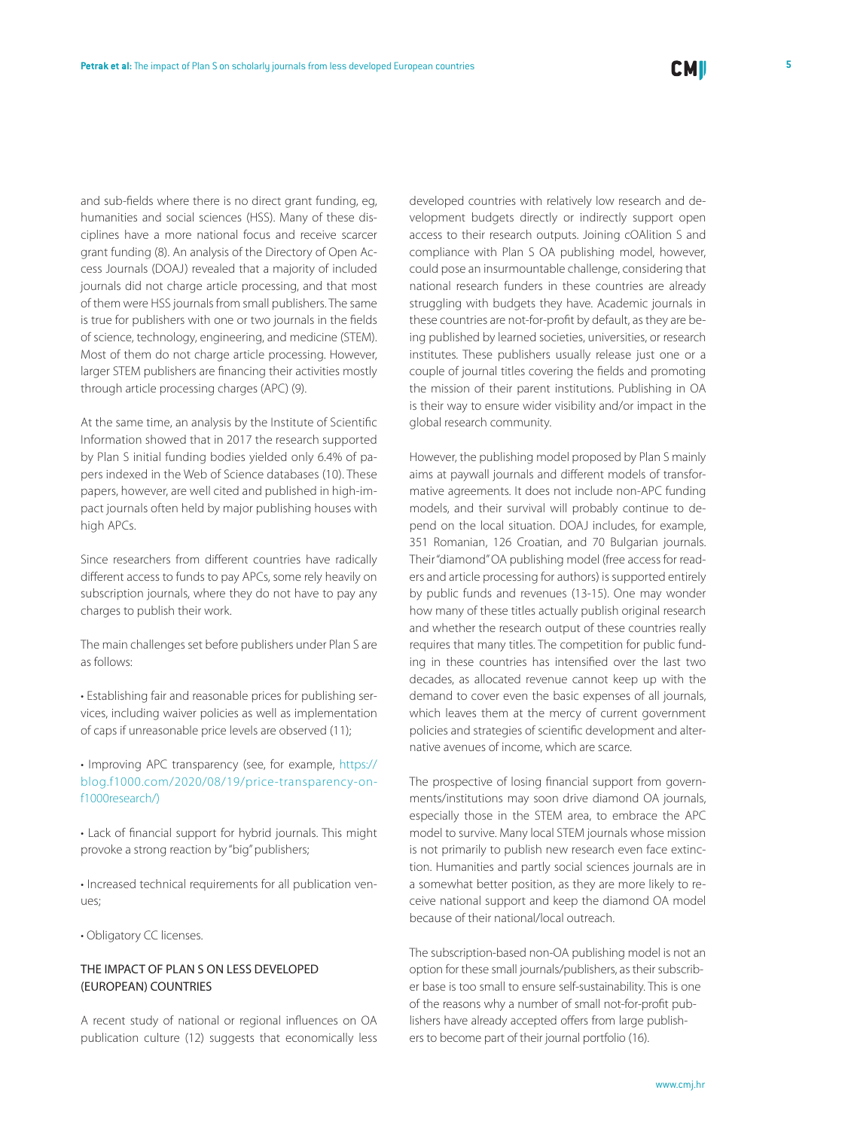and sub-fields where there is no direct grant funding, eg, humanities and social sciences (HSS). Many of these disciplines have a more national focus and receive scarcer grant funding (8). An analysis of the Directory of Open Access Journals (DOAJ) revealed that a majority of included journals did not charge article processing, and that most of them were HSS journals from small publishers. The same is true for publishers with one or two journals in the fields of science, technology, engineering, and medicine (STEM). Most of them do not charge article processing. However, larger STEM publishers are financing their activities mostly through article processing charges (APC) (9).

At the same time, an analysis by the Institute of Scientific Information showed that in 2017 the research supported by Plan S initial funding bodies yielded only 6.4% of papers indexed in the Web of Science databases (10). These papers, however, are well cited and published in high-impact journals often held by major publishing houses with high APCs.

Since researchers from different countries have radically different access to funds to pay APCs, some rely heavily on subscription journals, where they do not have to pay any charges to publish their work.

The main challenges set before publishers under Plan S are as follows:

• Establishing fair and reasonable prices for publishing services, including waiver policies as well as implementation of caps if unreasonable price levels are observed (11);

• Improving APC transparency (see, for example, [https://](https://blog.f1000.com/2020/08/19/price-transparency-on-f1000research/)) [blog.f1000.com/2020/08/19/price-transparency-on](https://blog.f1000.com/2020/08/19/price-transparency-on-f1000research/))[f1000research/\)](https://blog.f1000.com/2020/08/19/price-transparency-on-f1000research/))

• Lack of financial support for hybrid journals. This might provoke a strong reaction by "big" publishers;

• Increased technical requirements for all publication venues;

• Obligatory CC licenses.

# THE IMPACT OF PLAN S ON LESS DEVELOPED (EUROPEAN) COUNTRIES

A recent study of national or regional influences on OA publication culture (12) suggests that economically less

developed countries with relatively low research and development budgets directly or indirectly support open access to their research outputs. Joining cOAlition S and compliance with Plan S OA publishing model, however, could pose an insurmountable challenge, considering that national research funders in these countries are already struggling with budgets they have. Academic journals in these countries are not-for-profit by default, as they are being published by learned societies, universities, or research institutes. These publishers usually release just one or a couple of journal titles covering the fields and promoting the mission of their parent institutions. Publishing in OA is their way to ensure wider visibility and/or impact in the global research community.

However, the publishing model proposed by Plan S mainly aims at paywall journals and different models of transformative agreements. It does not include non-APC funding models, and their survival will probably continue to depend on the local situation. DOAJ includes, for example, 351 Romanian, 126 Croatian, and 70 Bulgarian journals. Their "diamond" OA publishing model (free access for readers and article processing for authors) is supported entirely by public funds and revenues (13-15). One may wonder how many of these titles actually publish original research and whether the research output of these countries really requires that many titles. The competition for public funding in these countries has intensified over the last two decades, as allocated revenue cannot keep up with the demand to cover even the basic expenses of all journals, which leaves them at the mercy of current government policies and strategies of scientific development and alternative avenues of income, which are scarce.

The prospective of losing financial support from governments/institutions may soon drive diamond OA journals, especially those in the STEM area, to embrace the APC model to survive. Many local STEM journals whose mission is not primarily to publish new research even face extinction. Humanities and partly social sciences journals are in a somewhat better position, as they are more likely to receive national support and keep the diamond OA model because of their national/local outreach.

The subscription-based non-OA publishing model is not an option for these small journals/publishers, as their subscriber base is too small to ensure self-sustainability. This is one of the reasons why a number of small not-for-profit publishers have already accepted offers from large publishers to become part of their journal portfolio (16).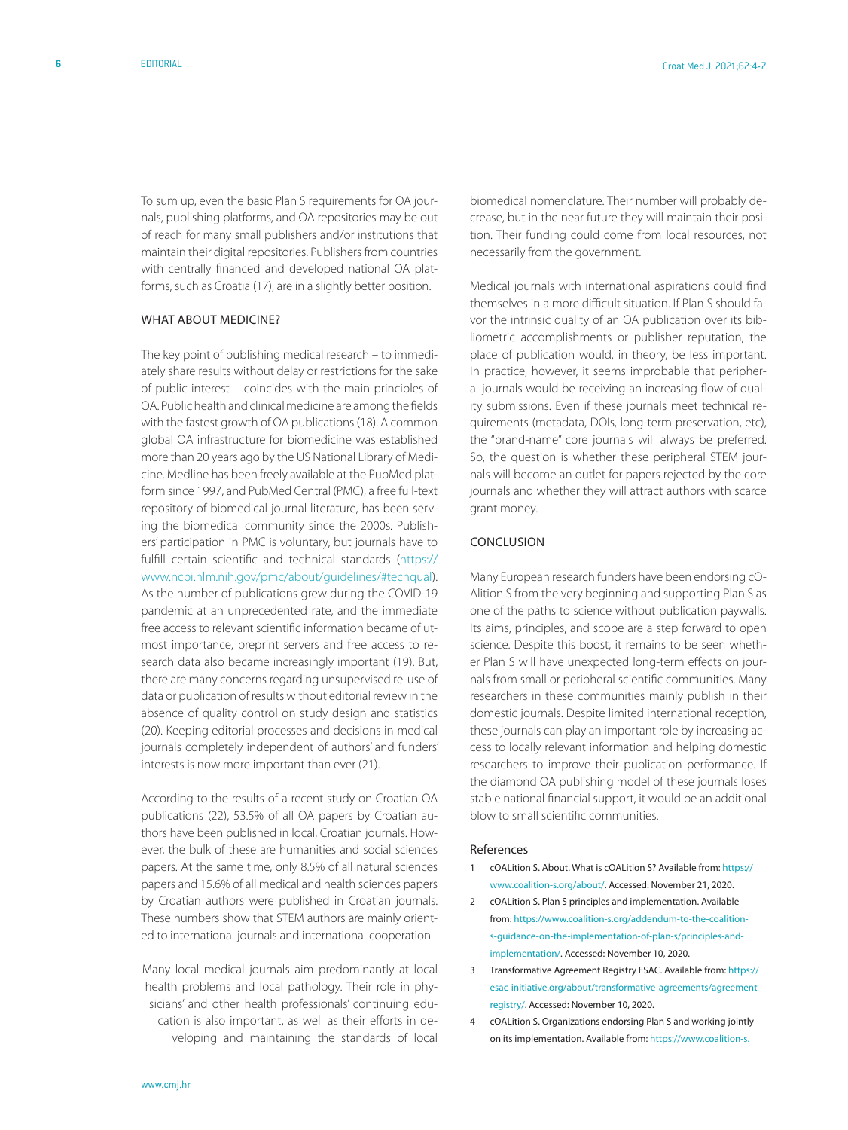To sum up, even the basic Plan S requirements for OA journals, publishing platforms, and OA repositories may be out of reach for many small publishers and/or institutions that maintain their digital repositories. Publishers from countries with centrally financed and developed national OA platforms, such as Croatia (17), are in a slightly better position.

### WHAT ABOUT MEDICINE?

The key point of publishing medical research – to immediately share results without delay or restrictions for the sake of public interest – coincides with the main principles of OA. Public health and clinical medicine are among the fields with the fastest growth of OA publications (18). A common global OA infrastructure for biomedicine was established more than 20 years ago by the US National Library of Medicine. Medline has been freely available at the PubMed platform since 1997, and PubMed Central (PMC), a free full-text repository of biomedical journal literature, has been serving the biomedical community since the 2000s. Publishers' participation in PMC is voluntary, but journals have to fulfill certain scientific and technical standards ([https://](https://www.ncbi.nlm.nih.gov/pmc/about/guidelines/#techqual) [www.ncbi.nlm.nih.gov/pmc/about/guidelines/#techqua](https://www.ncbi.nlm.nih.gov/pmc/about/guidelines/#techqual)l). As the number of publications grew during the COVID-19 pandemic at an unprecedented rate, and the immediate free access to relevant scientific information became of utmost importance, preprint servers and free access to research data also became increasingly important (19). But, there are many concerns regarding unsupervised re-use of data or publication of results without editorial review in the absence of quality control on study design and statistics (20). Keeping editorial processes and decisions in medical journals completely independent of authors' and funders' interests is now more important than ever (21).

According to the results of a recent study on Croatian OA publications (22), 53.5% of all OA papers by Croatian authors have been published in local, Croatian journals. However, the bulk of these are humanities and social sciences papers. At the same time, only 8.5% of all natural sciences papers and 15.6% of all medical and health sciences papers by Croatian authors were published in Croatian journals. These numbers show that STEM authors are mainly oriented to international journals and international cooperation.

Many local medical journals aim predominantly at local health problems and local pathology. Their role in physicians' and other health professionals' continuing education is also important, as well as their efforts in developing and maintaining the standards of local

biomedical nomenclature. Their number will probably decrease, but in the near future they will maintain their position. Their funding could come from local resources, not necessarily from the government.

Medical journals with international aspirations could find themselves in a more difficult situation. If Plan S should favor the intrinsic quality of an OA publication over its bibliometric accomplishments or publisher reputation, the place of publication would, in theory, be less important. In practice, however, it seems improbable that peripheral journals would be receiving an increasing flow of quality submissions. Even if these journals meet technical requirements (metadata, DOIs, long-term preservation, etc), the "brand-name" core journals will always be preferred. So, the question is whether these peripheral STEM journals will become an outlet for papers rejected by the core journals and whether they will attract authors with scarce grant money.

#### Conclusion

Many European research funders have been endorsing cO-Alition S from the very beginning and supporting Plan S as one of the paths to science without publication paywalls. Its aims, principles, and scope are a step forward to open science. Despite this boost, it remains to be seen whether Plan S will have unexpected long-term effects on journals from small or peripheral scientific communities. Many researchers in these communities mainly publish in their domestic journals. Despite limited international reception, these journals can play an important role by increasing access to locally relevant information and helping domestic researchers to improve their publication performance. If the diamond OA publishing model of these journals loses stable national financial support, it would be an additional blow to small scientific communities.

#### References

- 1 cOALition S. About. What is cOALition S? Available from: [https://](https://www.coalition-s.org/about/) [www.coalition-s.org/about/.](https://www.coalition-s.org/about/) Accessed: November 21, 2020.
- 2 cOALition S. Plan S principles and implementation. Available from: [https://www.coalition-s.org/addendum-to-the-coalition](https://www.coalition-s.org/addendum-to-the-coalition-s-guidance-on-the-implementation-of-plan-s/principles-and-implementation/)[s-guidance-on-the-implementation-of-plan-s/principles-and](https://www.coalition-s.org/addendum-to-the-coalition-s-guidance-on-the-implementation-of-plan-s/principles-and-implementation/)[implementation/.](https://www.coalition-s.org/addendum-to-the-coalition-s-guidance-on-the-implementation-of-plan-s/principles-and-implementation/) Accessed: November 10, 2020.
- 3 Transformative Agreement Registry ESAC. Available from: [https://](https://esac-initiative.org/about/transformative-agreements/agreement-registry/) [esac-initiative.org/about/transformative-agreements/agreement](https://esac-initiative.org/about/transformative-agreements/agreement-registry/)[registry/.](https://esac-initiative.org/about/transformative-agreements/agreement-registry/) Accessed: November 10, 2020.
- 4 cOALition S. Organizations endorsing Plan S and working jointly on its implementation. Available from: [https://www.coalition-s.](https://www.coalition-s.org/organisations/)